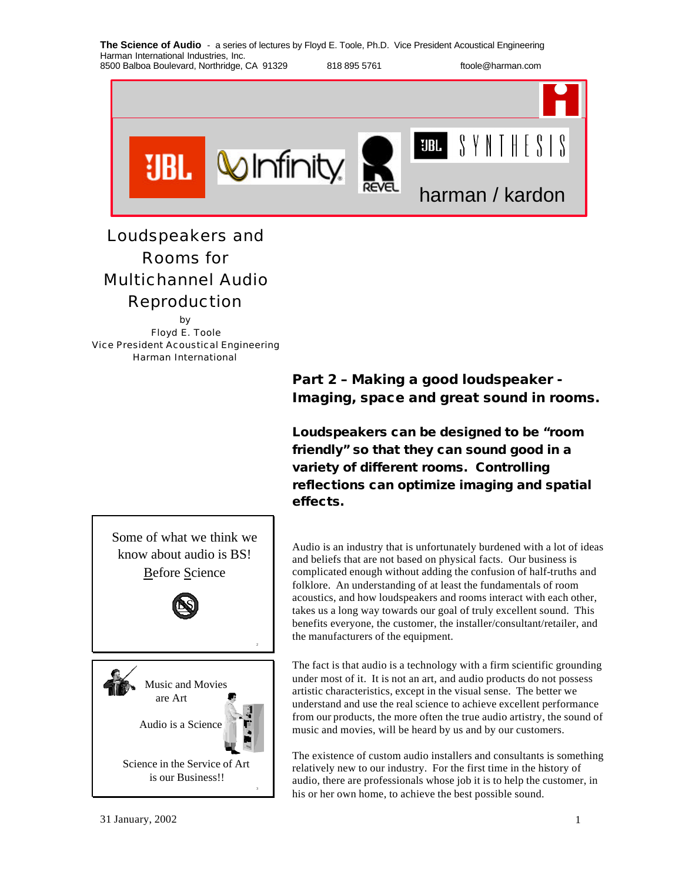

# Loudspeakers and Rooms for Multichannel Audio Reproduction

by Floyd E. Toole Vice President Acoustical Engineering

Harman International

**Part 2 – Making a good loudspeaker - Imaging, space and great sound in rooms.**

**Loudspeakers can be designed to be "room friendly" so that they can sound good in a variety of different rooms. Controlling reflections can optimize imaging and spatial effects.**

Audio is an industry that is unfortunately burdened with a lot of ideas and beliefs that are not based on physical facts. Our business is complicated enough without adding the confusion of half-truths and folklore. An understanding of at least the fundamentals of room acoustics, and how loudspeakers and rooms interact with each other, takes us a long way towards our goal of truly excellent sound. This benefits everyone, the customer, the installer/consultant/retailer, and the manufacturers of the equipment.

The fact is that audio is a technology with a firm scientific grounding under most of it. It is not an art, and audio products do not possess artistic characteristics, except in the visual sense. The better we understand and use the real science to achieve excellent performance from our products, the more often the true audio artistry, the sound of music and movies, will be heard by us and by our customers.

The existence of custom audio installers and consultants is something relatively new to our industry. For the first time in the history of audio, there are professionals whose job it is to help the customer, in his or her own home, to achieve the best possible sound.

know about audio is BS! Before Science BS Music and Movies are Art

Some of what we think we

Science in the Service of Art is our Business!!

Audio is a Science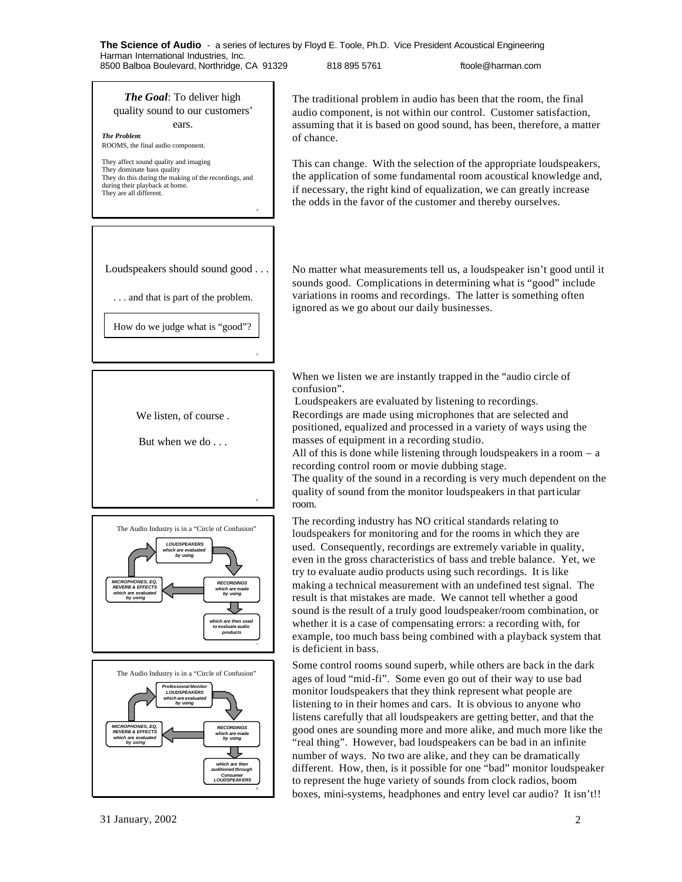### *The Goal*: To deliver high quality sound to our customers' ears.

*The Problem*: ROOMS, the final audio component.

They affect sound quality and imaging They dominate bass quality They do this during the making of the recordings, and during their playback at home. They are all different.

Loudspeakers should sound good . . .

. . . and that is part of the problem.

How do we judge what is "good"?

5

6







The traditional problem in audio has been that the room, the final audio component, is not within our control. Customer satisfaction, assuming that it is based on good sound, has been, therefore, a matter of chance.

This can change. With the selection of the appropriate loudspeakers, the application of some fundamental room acoustical knowledge and, if necessary, the right kind of equalization, we can greatly increase the odds in the favor of the customer and thereby ourselves.

No matter what measurements tell us, a loudspeaker isn't good until it sounds good. Complications in determining what is "good" include variations in rooms and recordings. The latter is something often ignored as we go about our daily businesses.

When we listen we are instantly trapped in the "audio circle of confusion".

 Loudspeakers are evaluated by listening to recordings. Recordings are made using microphones that are selected and positioned, equalized and processed in a variety of ways using the masses of equipment in a recording studio.

All of this is done while listening through loudspeakers in a room – a recording control room or movie dubbing stage.

The quality of the sound in a recording is very much dependent on the quality of sound from the monitor loudspeakers in that particular room.

The recording industry has NO critical standards relating to loudspeakers for monitoring and for the rooms in which they are used. Consequently, recordings are extremely variable in quality, even in the gross characteristics of bass and treble balance. Yet, we try to evaluate audio products using such recordings. It is like making a technical measurement with an undefined test signal. The result is that mistakes are made. We cannot tell whether a good sound is the result of a truly good loudspeaker/room combination, or whether it is a case of compensating errors: a recording with, for example, too much bass being combined with a playback system that is deficient in bass.

Some control rooms sound superb, while others are back in the dark ages of loud "mid-fi". Some even go out of their way to use bad monitor loudspeakers that they think represent what people are listening to in their homes and cars. It is obvious to anyone who listens carefully that all loudspeakers are getting better, and that the good ones are sounding more and more alike, and much more like the "real thing". However, bad loudspeakers can be bad in an infinite number of ways. No two are alike, and they can be dramatically different. How, then, is it possible for one "bad" monitor loudspeaker to represent the huge variety of sounds from clock radios, boom boxes, mini-systems, headphones and entry level car audio? It isn't!!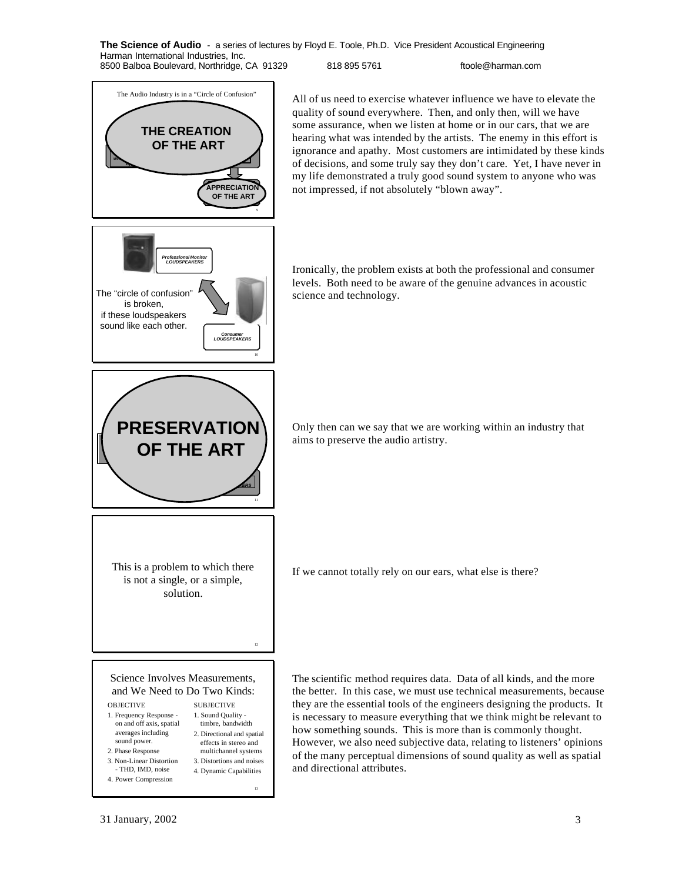

*Professional Monitor LOUDSPEAKERS*

The "circle of confusion" is broken, if these loudspeakers sound like each other.

All of us need to exercise whatever influence we have to elevate the quality of sound everywhere. Then, and only then, will we have some assurance, when we listen at home or in our cars, that we are hearing what was intended by the artists. The enemy in this effort is ignorance and apathy. Most customers are intimidated by these kinds of decisions, and some truly say they don't care. Yet, I have never in my life demonstrated a truly good sound system to anyone who was not impressed, if not absolutely "blown away".

Ironically, the problem exists at both the professional and consumer levels. Both need to be aware of the genuine advances in acoustic science and technology.



10

*Consumer LOUDSPEAKERS*

Only then can we say that we are working within an industry that aims to preserve the audio artistry.

If we cannot totally rely on our ears, what else is there?

This is a problem to which there is not a single, or a simple, solution.

Science Involves Measurements, and We Need to Do Two Kinds:

## **OBJECTIVE**

- 1. Frequency Response on and off axis, spatial
- averages including
- sound power.
- 2. Phase Response 3. Non-Linear Distortion
	- 3. Distortions and noises 4. Dynamic Capabilities

SUBJECTIVE 1. Sound Quality timbre, bandwidth 2. Directional and spatial effects in stereo and multichannel systems

13

- THD, IMD, noise 4. Power Compression The scientific method requires data. Data of all kinds, and the more the better. In this case, we must use technical measurements, because they are the essential tools of the engineers designing the products. It is necessary to measure everything that we think might be relevant to how something sounds. This is more than is commonly thought. However, we also need subjective data, relating to listeners' opinions of the many perceptual dimensions of sound quality as well as spatial and directional attributes.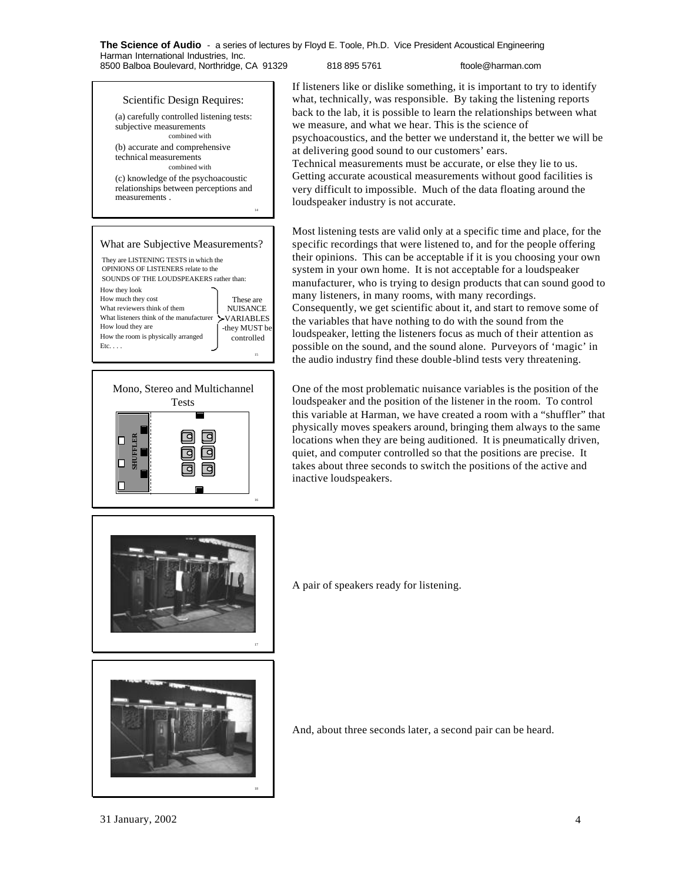Scientific Design Requires: (a) carefully controlled listening tests:

combined with (b) accurate and comprehensive technical measurements

combined with (c) knowledge of the psychoacoustic relationships between perceptions and

What are Subjective Measurements?

They are LISTENING TESTS in which the OPINIONS OF LISTENERS relate to the SOUNDS OF THE LOUDSPEAKERS rather than:

subjective measurements

measurements .

How they look How much they cost What reviewers think of them What listeners think of the manufacturer

How loud they are

 $Etc. \ldots$ 

How the room is physically arranged

14

15

These are NUISANCE VARIABLES -they MUST be controlled

If listeners like or dislike something, it is important to try to identify what, technically, was responsible. By taking the listening reports back to the lab, it is possible to learn the relationships between what we measure, and what we hear. This is the science of psychoacoustics, and the better we understand it, the better we will be at delivering good sound to our customers' ears. Technical measurements must be accurate, or else they lie to us.

Getting accurate acoustical measurements without good facilities is very difficult to impossible. Much of the data floating around the loudspeaker industry is not accurate.

Most listening tests are valid only at a specific time and place, for the specific recordings that were listened to, and for the people offering their opinions. This can be acceptable if it is you choosing your own system in your own home. It is not acceptable for a loudspeaker manufacturer, who is trying to design products that can sound good to many listeners, in many rooms, with many recordings. Consequently, we get scientific about it, and start to remove some of the variables that have nothing to do with the sound from the loudspeaker, letting the listeners focus as much of their attention as possible on the sound, and the sound alone. Purveyors of 'magic' in the audio industry find these double-blind tests very threatening.

One of the most problematic nuisance variables is the position of the loudspeaker and the position of the listener in the room. To control this variable at Harman, we have created a room with a "shuffler" that physically moves speakers around, bringing them always to the same locations when they are being auditioned. It is pneumatically driven, quiet, and computer controlled so that the positions are precise. It takes about three seconds to switch the positions of the active and inactive loudspeakers.

A pair of speakers ready for listening.

And, about three seconds later, a second pair can be heard.





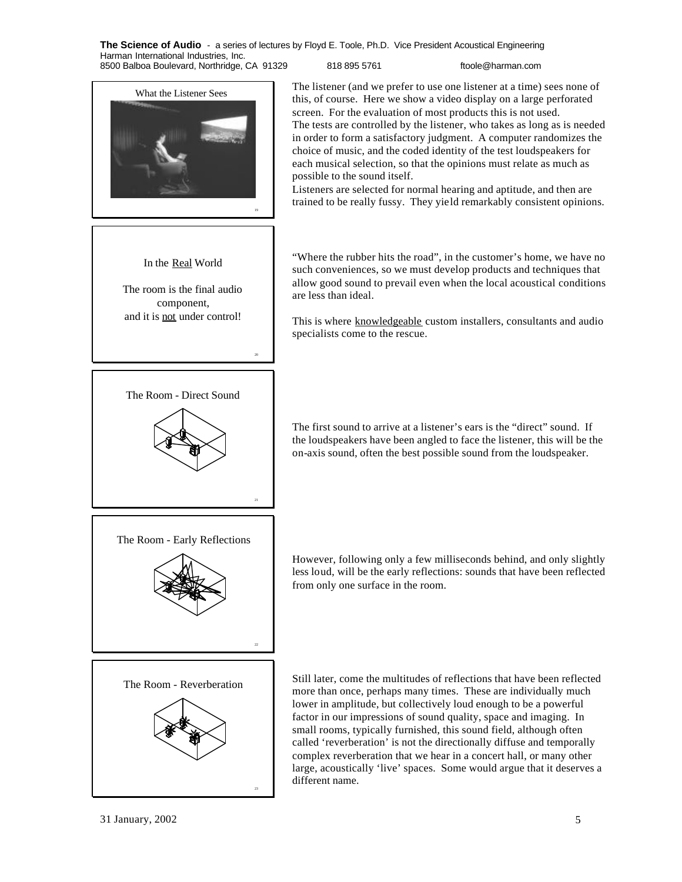**The Science of Audio** - a series of lectures by Floyd E. Toole, Ph.D. Vice President Acoustical Engineering Harman International Industries, Inc.

8500 Balboa Boulevard, Northridge, CA 91329 818 895 5761 ftoole@harman.com





The room is the final audio component, and it is not under control!

The Room - Direct Sound

20

What the Listener Sees The listener (and we prefer to use one listener at a time) sees none of this, of course. Here we show a video display on a large perforated screen. For the evaluation of most products this is not used. The tests are controlled by the listener, who takes as long as is needed in order to form a satisfactory judgment. A computer randomizes the choice of music, and the coded identity of the test loudspeakers for each musical selection, so that the opinions must relate as much as possible to the sound itself.

> Listeners are selected for normal hearing and aptitude, and then are trained to be really fussy. They yield remarkably consistent opinions.

> "Where the rubber hits the road", in the customer's home, we have no such conveniences, so we must develop products and techniques that allow good sound to prevail even when the local acoustical conditions are less than ideal.

> This is where knowledgeable custom installers, consultants and audio specialists come to the rescue.

> The first sound to arrive at a listener's ears is the "direct" sound. If the loudspeakers have been angled to face the listener, this will be the on-axis sound, often the best possible sound from the loudspeaker.



However, following only a few milliseconds behind, and only slightly less loud, will be the early reflections: sounds that have been reflected from only one surface in the room.



The Room - Reverberation Still later, come the multitudes of reflections that have been reflected more than once, perhaps many times. These are individually much lower in amplitude, but collectively loud enough to be a powerful factor in our impressions of sound quality, space and imaging. In small rooms, typically furnished, this sound field, although often called 'reverberation' is not the directionally diffuse and temporally complex reverberation that we hear in a concert hall, or many other large, acoustically 'live' spaces. Some would argue that it deserves a different name.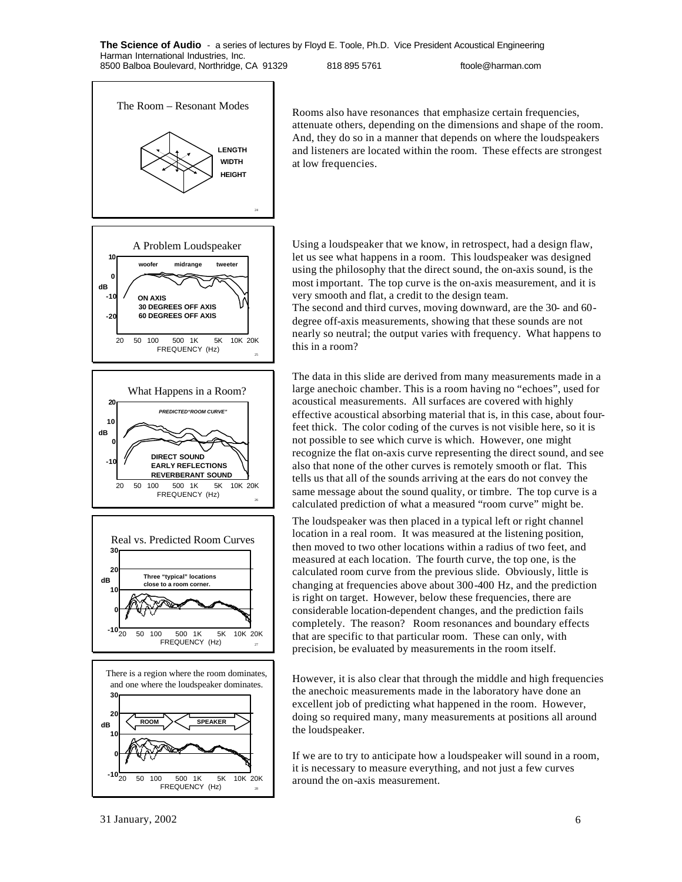

Rooms also have resonances that emphasize certain frequencies, attenuate others, depending on the dimensions and shape of the room. And, they do so in a manner that depends on where the loudspeakers and listeners are located within the room. These effects are strongest at low frequencies.

Using a loudspeaker that we know, in retrospect, had a design flaw, let us see what happens in a room. This loudspeaker was designed using the philosophy that the direct sound, the on-axis sound, is the most important. The top curve is the on-axis measurement, and it is very smooth and flat, a credit to the design team.

The second and third curves, moving downward, are the 30- and 60 degree off-axis measurements, showing that these sounds are not nearly so neutral; the output varies with frequency. What happens to this in a room?

The data in this slide are derived from many measurements made in a large anechoic chamber. This is a room having no "echoes", used for acoustical measurements. All surfaces are covered with highly effective acoustical absorbing material that is, in this case, about fourfeet thick. The color coding of the curves is not visible here, so it is not possible to see which curve is which. However, one might recognize the flat on-axis curve representing the direct sound, and see also that none of the other curves is remotely smooth or flat. This tells us that all of the sounds arriving at the ears do not convey the same message about the sound quality, or timbre. The top curve is a calculated prediction of what a measured "room curve" might be.

The loudspeaker was then placed in a typical left or right channel location in a real room. It was measured at the listening position, then moved to two other locations within a radius of two feet, and measured at each location. The fourth curve, the top one, is the calculated room curve from the previous slide. Obviously, little is changing at frequencies above about 300-400 Hz, and the prediction is right on target. However, below these frequencies, there are considerable location-dependent changes, and the prediction fails completely. The reason? Room resonances and boundary effects that are specific to that particular room. These can only, with precision, be evaluated by measurements in the room itself.

However, it is also clear that through the middle and high frequencies the anechoic measurements made in the laboratory have done an excellent job of predicting what happened in the room. However, doing so required many, many measurements at positions all around the loudspeaker.

If we are to try to anticipate how a loudspeaker will sound in a room, it is necessary to measure everything, and not just a few curves around the on-axis measurement.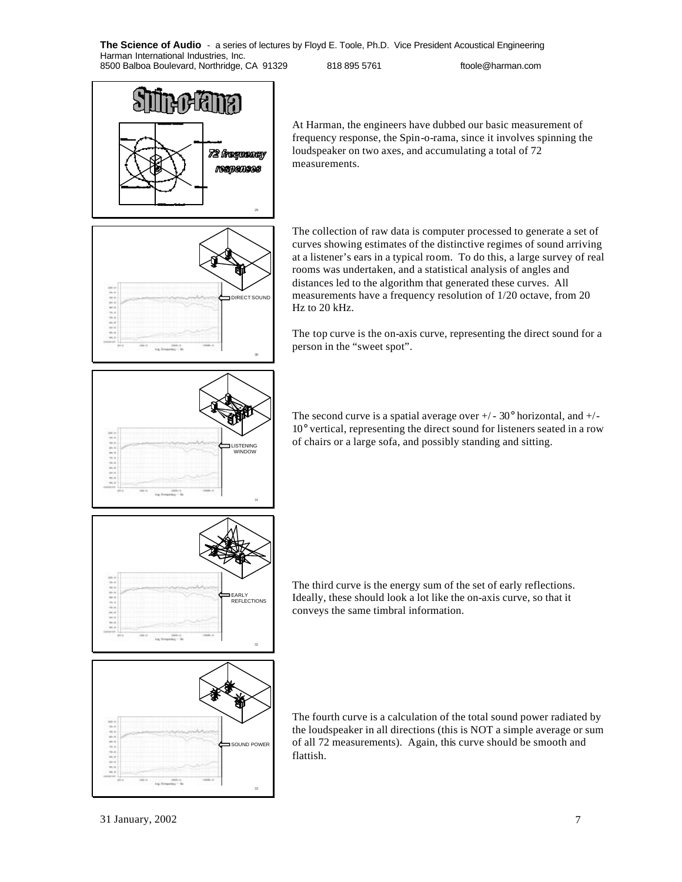72 frequency **Maripansas** 29

At Harman, the engineers have dubbed our basic measurement of frequency response, the Spin-o-rama, since it involves spinning the loudspeaker on two axes, and accumulating a total of 72 measurements.



The collection of raw data is computer processed to generate a set of curves showing estimates of the distinctive regimes of sound arriving at a listener's ears in a typical room. To do this, a large survey of real rooms was undertaken, and a statistical analysis of angles and distances led to the algorithm that generated these curves. All measurements have a frequency resolution of 1/20 octave, from 20 Hz to 20 kHz.

The top curve is the on-axis curve, representing the direct sound for a person in the "sweet spot".



The second curve is a spatial average over  $+/- 30^{\circ}$  horizontal, and  $+/-$ 10° vertical, representing the direct sound for listeners seated in a row of chairs or a large sofa, and possibly standing and sitting.



The third curve is the energy sum of the set of early reflections. Ideally, these should look a lot like the on-axis curve, so that it conveys the same timbral information.



The fourth curve is a calculation of the total sound power radiated by the loudspeaker in all directions (this is NOT a simple average or sum of all 72 measurements). Again, this curve should be smooth and flattish.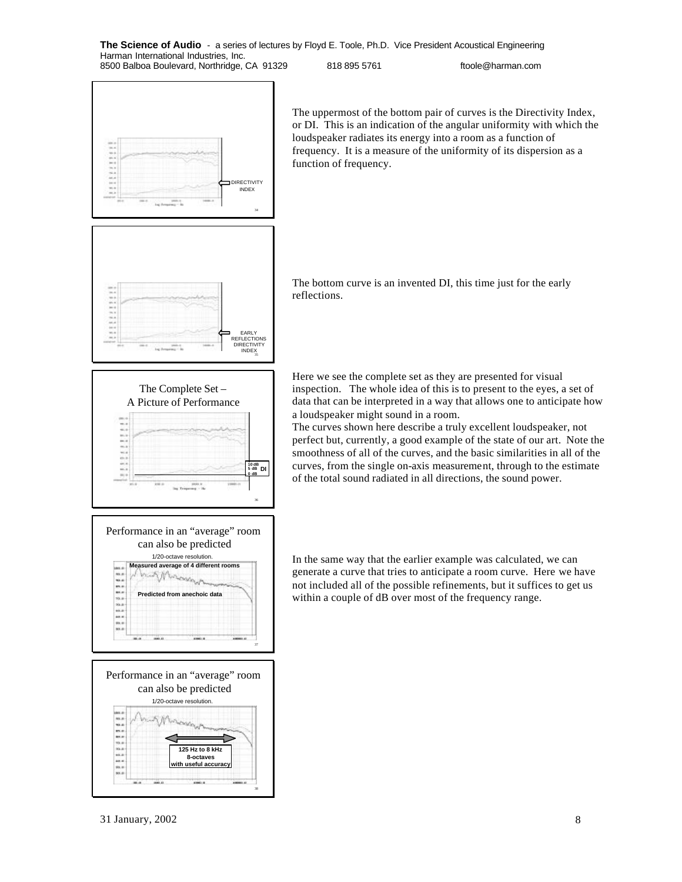

The uppermost of the bottom pair of curves is the Directivity Index, or DI. This is an indication of the angular uniformity with which the loudspeaker radiates its energy into a room as a function of frequency. It is a measure of the uniformity of its dispersion as a function of frequency.









The bottom curve is an invented DI, this time just for the early reflections.

Here we see the complete set as they are presented for visual inspection. The whole idea of this is to present to the eyes, a set of data that can be interpreted in a way that allows one to anticipate how a loudspeaker might sound in a room.

The curves shown here describe a truly excellent loudspeaker, not perfect but, currently, a good example of the state of our art. Note the smoothness of all of the curves, and the basic similarities in all of the curves, from the single on-axis measurement, through to the estimate of the total sound radiated in all directions, the sound power.

In the same way that the earlier example was calculated, we can generate a curve that tries to anticipate a room curve. Here we have not included all of the possible refinements, but it suffices to get us within a couple of dB over most of the frequency range.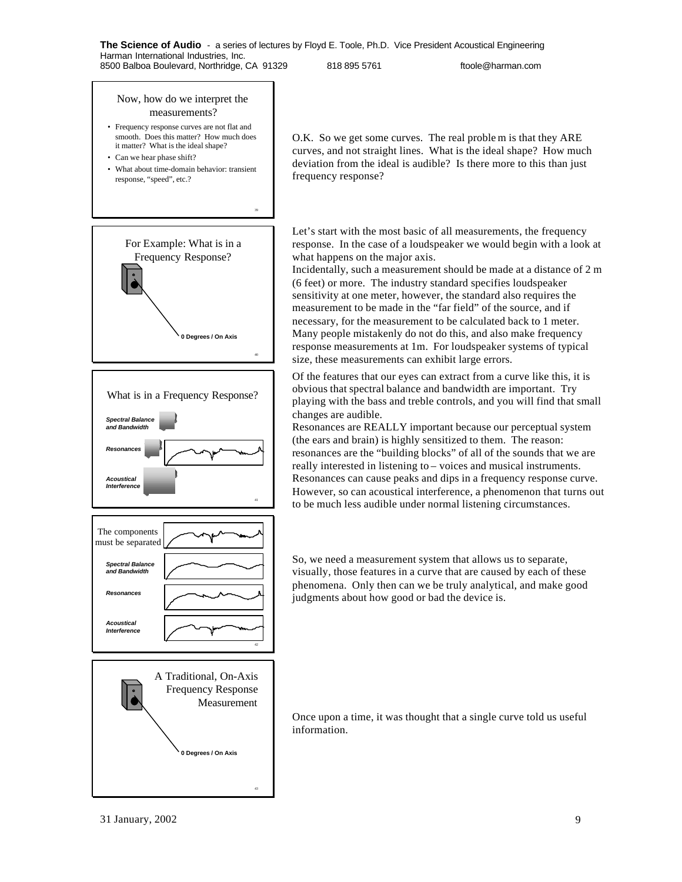### Now, how do we interpret the measurements?

- Frequency response curves are not flat and smooth. Does this matter? How much does it matter? What is the ideal shape?
- Can we hear phase shift?
- What about time-domain behavior: transient response, "speed", etc.?

39









O.K. So we get some curves. The real proble m is that they ARE curves, and not straight lines. What is the ideal shape? How much deviation from the ideal is audible? Is there more to this than just frequency response?

Let's start with the most basic of all measurements, the frequency response. In the case of a loudspeaker we would begin with a look at what happens on the major axis.

Incidentally, such a measurement should be made at a distance of 2 m (6 feet) or more. The industry standard specifies loudspeaker sensitivity at one meter, however, the standard also requires the measurement to be made in the "far field" of the source, and if necessary, for the measurement to be calculated back to 1 meter. Many people mistakenly do not do this, and also make frequency response measurements at 1m. For loudspeaker systems of typical size, these measurements can exhibit large errors.

Of the features that our eyes can extract from a curve like this, it is obvious that spectral balance and bandwidth are important. Try playing with the bass and treble controls, and you will find that small changes are audible.

Resonances are REALLY important because our perceptual system (the ears and brain) is highly sensitized to them. The reason: resonances are the "building blocks" of all of the sounds that we are really interested in listening to – voices and musical instruments. Resonances can cause peaks and dips in a frequency response curve. However, so can acoustical interference, a phenomenon that turns out to be much less audible under normal listening circumstances.

So, we need a measurement system that allows us to separate, visually, those features in a curve that are caused by each of these phenomena. Only then can we be truly analytical, and make good judgments about how good or bad the device is.

Once upon a time, it was thought that a single curve told us useful information.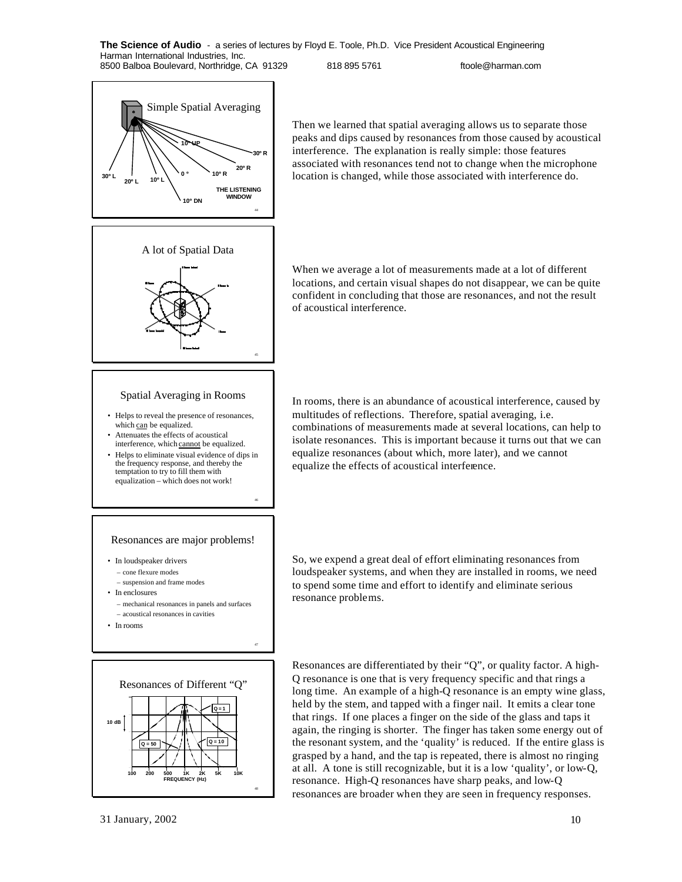of acoustical interference.

44 Simple Spatial Averaging **0 º 10º R 10º L 10º UP 10º DN 20º L 30º L 20º R 30º R THE LISTENING WINDOW**

Then we learned that spatial averaging allows us to separate those peaks and dips caused by resonances from those caused by acoustical interference. The explanation is really simple: those features associated with resonances tend not to change when the microphone location is changed, while those associated with interference do.



## Spatial Averaging in Rooms

- Helps to reveal the presence of resonances, which can be equalized.
- Attenuates the effects of acoustical interference, which cannot be equalized.
- Helps to eliminate visual evidence of dips in the frequency response, and thereby the temptation to try to fill them with equalization – which does not work!

#### Resonances are major problems!

46

47

- In loudspeaker drivers
	- cone flexure modes
	- suspension and frame modes
- In enclosures
	- mechanical resonances in panels and surfaces – acoustical resonances in cavities
- In rooms



When we average a lot of measurements made at a lot of different locations, and certain visual shapes do not disappear, we can be quite confident in concluding that those are resonances, and not the result

In rooms, there is an abundance of acoustical interference, caused by multitudes of reflections. Therefore, spatial averaging, i.e. combinations of measurements made at several locations, can help to isolate resonances. This is important because it turns out that we can equalize resonances (about which, more later), and we cannot equalize the effects of acoustical interference.

So, we expend a great deal of effort eliminating resonances from loudspeaker systems, and when they are installed in rooms, we need to spend some time and effort to identify and eliminate serious resonance problems.

Resonances are differentiated by their "Q", or quality factor. A high-Q resonance is one that is very frequency specific and that rings a long time. An example of a high-Q resonance is an empty wine glass, held by the stem, and tapped with a finger nail. It emits a clear tone that rings. If one places a finger on the side of the glass and taps it again, the ringing is shorter. The finger has taken some energy out of the resonant system, and the 'quality' is reduced. If the entire glass is grasped by a hand, and the tap is repeated, there is almost no ringing at all. A tone is still recognizable, but it is a low 'quality', or low-Q, resonance. High-Q resonances have sharp peaks, and low-Q resonances are broader when they are seen in frequency responses.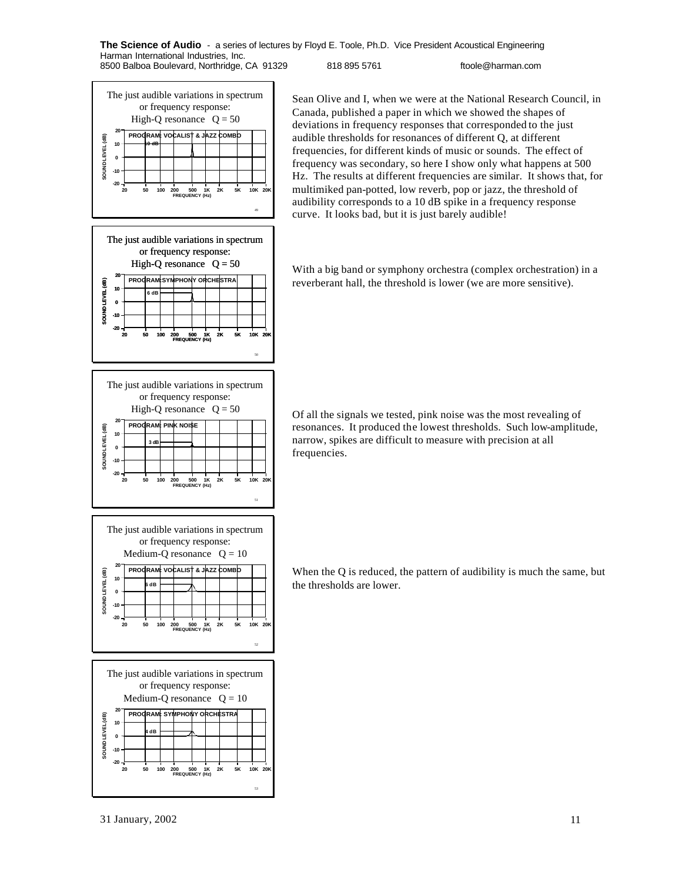

Sean Olive and I, when we were at the National Research Council, in Canada, published a paper in which we showed the shapes of deviations in frequency responses that corresponded to the just audible thresholds for resonances of different Q, at different frequencies, for different kinds of music or sounds. The effect of frequency was secondary, so here I show only what happens at 500 Hz. The results at different frequencies are similar. It shows that, for multimiked pan-potted, low reverb, pop or jazz, the threshold of audibility corresponds to a 10 dB spike in a frequency response curve. It looks bad, but it is just barely audible!

With a big band or symphony orchestra (complex orchestration) in a reverberant hall, the threshold is lower (we are more sensitive).

Of all the signals we tested, pink noise was the most revealing of resonances. It produced the lowest thresholds. Such low-amplitude, narrow, spikes are difficult to measure with precision at all frequencies.

When the Q is reduced, the pattern of audibility is much the same, but the thresholds are lower.

53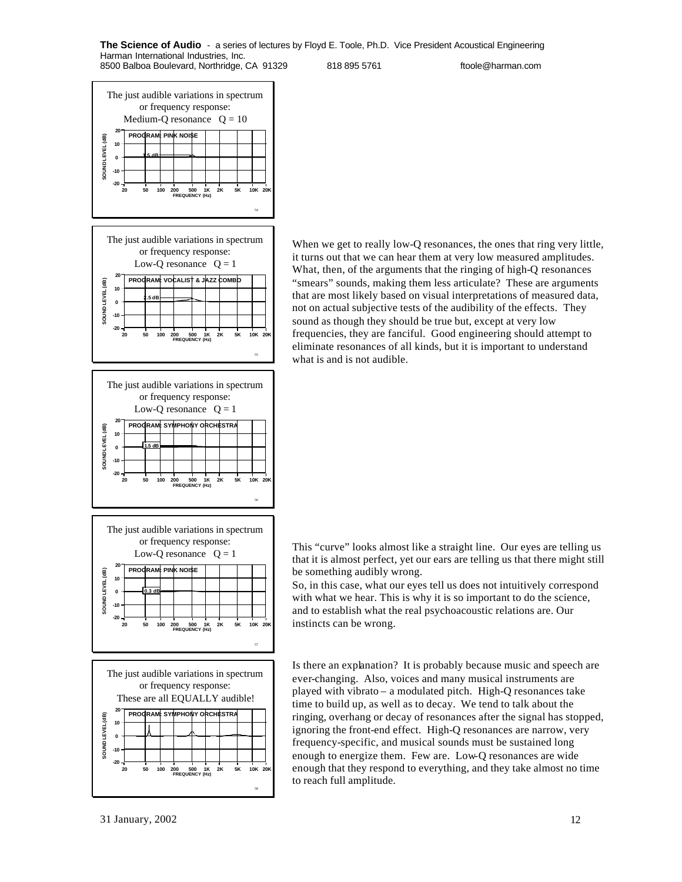The just audible variations in spectrum or frequency response: Medium-Q resonance  $Q = 10$ **20 PROGRAM: PINK NOISE** SOUND LEVEL (dB) **SOUND LEVEL (dB) 10 0 1.5 dB -10 -20 20 50 100 200 500 1K 2K 5K 10K 20K FREQUENCY (Hz)** 54 The just audible variations in spectrum or frequency response: Low-Q resonance  $Q = 1$ **20 PROGRAM: VOCALIST & JAZZ COMBO** SOUND LEVEL (dB) **SOUND LEVEL (dB) 10 2.5 dB 0 -10 -20 20 50 100 200 500 1K 2K 5K 10K 20K FREQUENCY (Hz)** 55 The just audible variations in spectrum or frequency response: Low-Q resonance  $Q = 1$ **20 PROGRAM: SYMPHONY ORCHESTRA** SOUND LEVEL (dB) **SOUND LEVEL (dB) 10 0 1.5 dB -10 -20 FREQUENCY (Hz) 20 50 100 200 500 1K 2K 5K 10K 20K** 56 The just audible variations in spectrum or frequency response: Low-Q resonance  $Q = 1$ **20 PROGRAM: PINK NOISE SOUND LEVEL (dB)** SOUND LEVEL (dB)  **10 0.3 dB 0 -10 -20 500 1K**<br>ENCY (Hz) **20 50 100 200 500 1K 2K 5K 10K 20K** 57 The just audible variations in spectrum or frequency response: These are all EQUALLY audible! **20 PROGRAM: SYMPHONY ORCHESTRA** SOUND LEVEL (dB) **SOUND LEVEL (dB) 10 0 -10 -20 20 50 100 200 500 1K 2K 5K 10K 20K FREQUENCY (Hz)**

When we get to really low-Q resonances, the ones that ring very little, it turns out that we can hear them at very low measured amplitudes. What, then, of the arguments that the ringing of high-Q resonances "smears" sounds, making them less articulate? These are arguments that are most likely based on visual interpretations of measured data, not on actual subjective tests of the audibility of the effects. They sound as though they should be true but, except at very low frequencies, they are fanciful. Good engineering should attempt to eliminate resonances of all kinds, but it is important to understand what is and is not audible.

This "curve" looks almost like a straight line. Our eyes are telling us that it is almost perfect, yet our ears are telling us that there might still be something audibly wrong.

So, in this case, what our eyes tell us does not intuitively correspond with what we hear. This is why it is so important to do the science, and to establish what the real psychoacoustic relations are. Our instincts can be wrong.

Is there an explanation? It is probably because music and speech are ever-changing. Also, voices and many musical instruments are played with vibrato – a modulated pitch. High-Q resonances take time to build up, as well as to decay. We tend to talk about the ringing, overhang or decay of resonances after the signal has stopped, ignoring the front-end effect. High-Q resonances are narrow, very frequency-specific, and musical sounds must be sustained long enough to energize them. Few are. Low-Q resonances are wide enough that they respond to everything, and they take almost no time to reach full amplitude.

58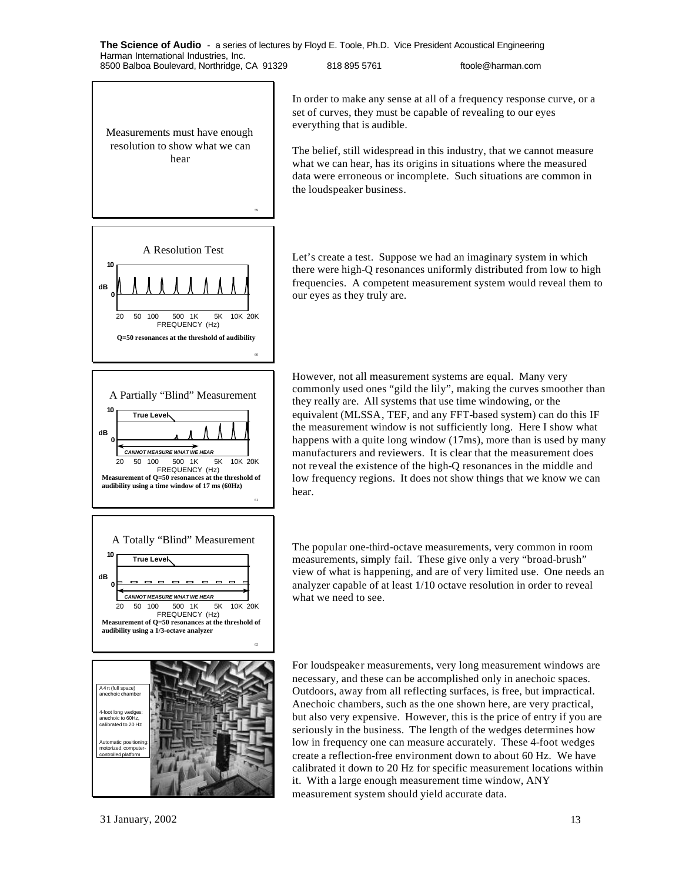Measurements must have enough resolution to show what we can hear

59









In order to make any sense at all of a frequency response curve, or a set of curves, they must be capable of revealing to our eyes everything that is audible.

The belief, still widespread in this industry, that we cannot measure what we can hear, has its origins in situations where the measured data were erroneous or incomplete. Such situations are common in the loudspeaker business.

Let's create a test. Suppose we had an imaginary system in which there were high-Q resonances uniformly distributed from low to high frequencies. A competent measurement system would reveal them to our eyes as they truly are.

However, not all measurement systems are equal. Many very commonly used ones "gild the lily", making the curves smoother than they really are. All systems that use time windowing, or the equivalent (MLSSA, TEF, and any FFT-based system) can do this IF the measurement window is not sufficiently long. Here I show what happens with a quite long window (17ms), more than is used by many manufacturers and reviewers. It is clear that the measurement does not reveal the existence of the high-Q resonances in the middle and low frequency regions. It does not show things that we know we can hear.

The popular one-third-octave measurements, very common in room measurements, simply fail. These give only a very "broad-brush" view of what is happening, and are of very limited use. One needs an analyzer capable of at least 1/10 octave resolution in order to reveal what we need to see.

For loudspeaker measurements, very long measurement windows are necessary, and these can be accomplished only in anechoic spaces. Outdoors, away from all reflecting surfaces, is free, but impractical. Anechoic chambers, such as the one shown here, are very practical, but also very expensive. However, this is the price of entry if you are seriously in the business. The length of the wedges determines how low in frequency one can measure accurately. These 4-foot wedges create a reflection-free environment down to about 60 Hz. We have calibrated it down to 20 Hz for specific measurement locations within it. With a large enough measurement time window, ANY measurement system should yield accurate data.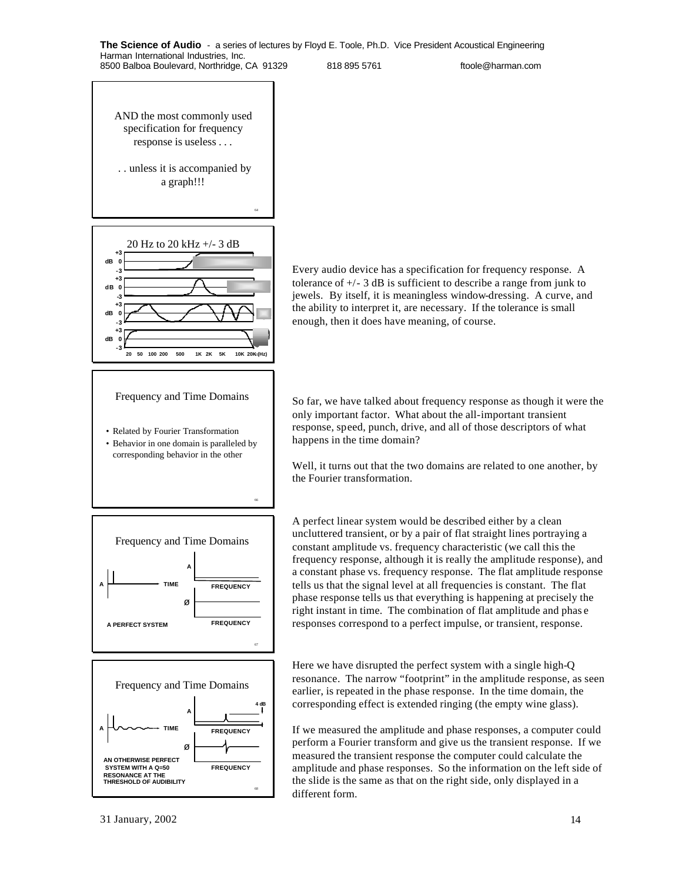AND the most commonly used specification for frequency response is useless . . .

 . . unless it is accompanied by a graph!!!

64

66



### Frequency and Time Domains

• Related by Fourier Transformation

• Behavior in one domain is paralleled by corresponding behavior in the other





Every audio device has a specification for frequency response. A tolerance of  $+/- 3$  dB is sufficient to describe a range from junk to jewels. By itself, it is meaningless window-dressing. A curve, and the ability to interpret it, are necessary. If the tolerance is small enough, then it does have meaning, of course.

So far, we have talked about frequency response as though it were the only important factor. What about the all-important transient response, speed, punch, drive, and all of those descriptors of what happens in the time domain?

Well, it turns out that the two domains are related to one another, by the Fourier transformation.

A perfect linear system would be described either by a clean uncluttered transient, or by a pair of flat straight lines portraying a constant amplitude vs. frequency characteristic (we call this the frequency response, although it is really the amplitude response), and a constant phase vs. frequency response. The flat amplitude response tells us that the signal level at all frequencies is constant. The flat phase response tells us that everything is happening at precisely the right instant in time. The combination of flat amplitude and phas e responses correspond to a perfect impulse, or transient, response.

Here we have disrupted the perfect system with a single high-Q resonance. The narrow "footprint" in the amplitude response, as seen earlier, is repeated in the phase response. In the time domain, the corresponding effect is extended ringing (the empty wine glass).

If we measured the amplitude and phase responses, a computer could perform a Fourier transform and give us the transient response. If we measured the transient response the computer could calculate the amplitude and phase responses. So the information on the left side of the slide is the same as that on the right side, only displayed in a different form.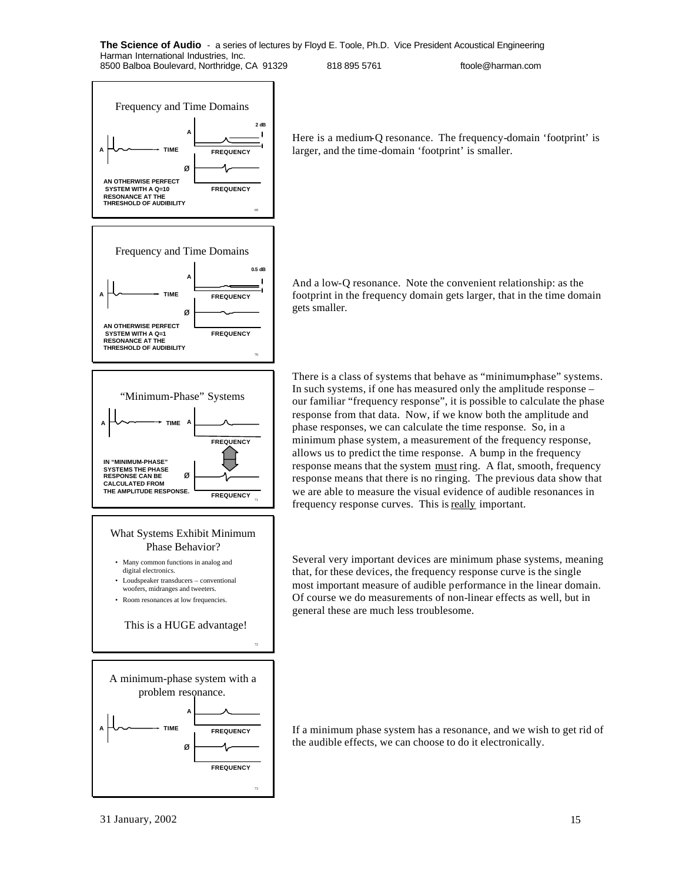

Here is a medium-Q resonance. The frequency-domain 'footprint' is larger, and the time-domain 'footprint' is smaller.

And a low-Q resonance. Note the convenient relationship: as the footprint in the frequency domain gets larger, that in the time domain gets smaller.

There is a class of systems that behave as "minimum-phase" systems. In such systems, if one has measured only the amplitude response – our familiar "frequency response", it is possible to calculate the phase response from that data. Now, if we know both the amplitude and phase responses, we can calculate the time response. So, in a minimum phase system, a measurement of the frequency response, allows us to predict the time response. A bump in the frequency response means that the system must ring. A flat, smooth, frequency response means that there is no ringing. The previous data show that we are able to measure the visual evidence of audible resonances in frequency response curves. This is really important.

Several very important devices are minimum phase systems, meaning that, for these devices, the frequency response curve is the single most important measure of audible performance in the linear domain. Of course we do measurements of non-linear effects as well, but in general these are much less troublesome.

**TIME TIME TREQUENCY** If a minimum phase system has a resonance, and we wish to get rid of the audible effects, we can choose to do it electronically.

73

**FREQUENCY**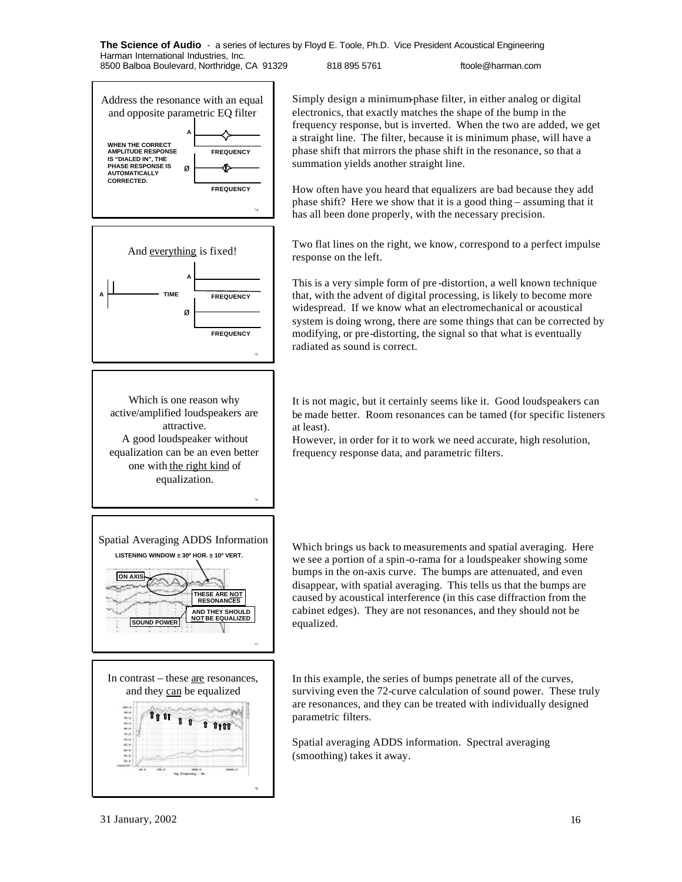



Which is one reason why active/amplified loudspeakers are attractive. A good loudspeaker without equalization can be an even better one with the right kind of equalization.

76





Simply design a minimum-phase filter, in either analog or digital electronics, that exactly matches the shape of the bump in the frequency response, but is inverted. When the two are added, we get a straight line. The filter, because it is minimum phase, will have a phase shift that mirrors the phase shift in the resonance, so that a summation yields another straight line.

How often have you heard that equalizers are bad because they add phase shift? Here we show that it is a good thing – assuming that it has all been done properly, with the necessary precision.

Two flat lines on the right, we know, correspond to a perfect impulse response on the left.

This is a very simple form of pre -distortion, a well known technique that, with the advent of digital processing, is likely to become more widespread. If we know what an electromechanical or acoustical system is doing wrong, there are some things that can be corrected by modifying, or pre-distorting, the signal so that what is eventually radiated as sound is correct.

It is not magic, but it certainly seems like it. Good loudspeakers can be made better. Room resonances can be tamed (for specific listeners at least).

However, in order for it to work we need accurate, high resolution, frequency response data, and parametric filters.

Which brings us back to measurements and spatial averaging. Here we see a portion of a spin-o-rama for a loudspeaker showing some bumps in the on-axis curve. The bumps are attenuated, and even disappear, with spatial averaging. This tells us that the bumps are caused by acoustical interference (in this case diffraction from the cabinet edges). They are not resonances, and they should not be equalized.

In this example, the series of bumps penetrate all of the curves, surviving even the 72-curve calculation of sound power. These truly are resonances, and they can be treated with individually designed parametric filters.

Spatial averaging ADDS information. Spectral averaging (smoothing) takes it away.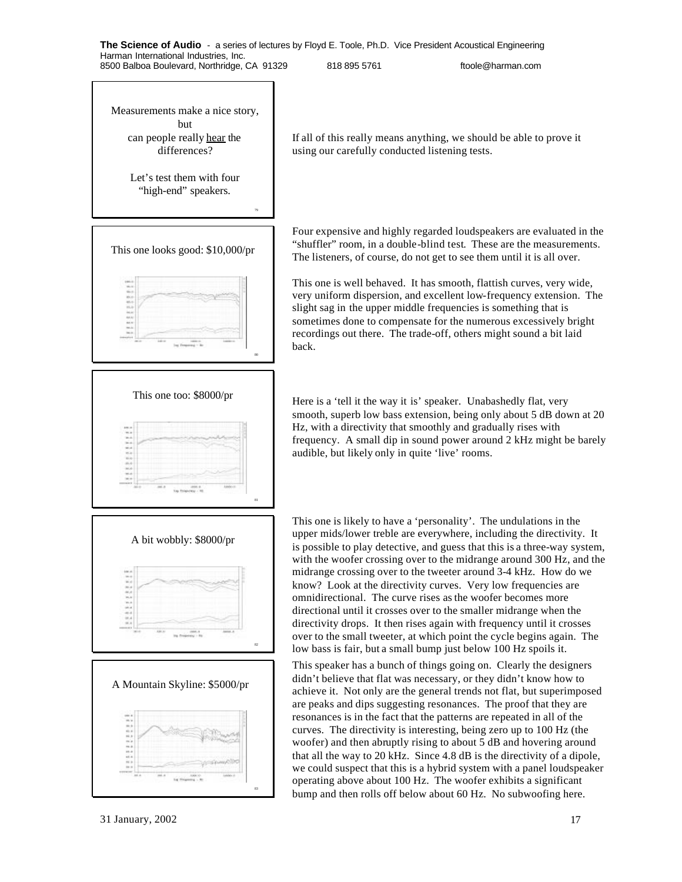Measurements make a nice story, but can people really hear the differences?

> Let's test them with four "high-end" speakers.

> > 79

80



If all of this really means anything, we should be able to prove it using our carefully conducted listening tests.

Four expensive and highly regarded loudspeakers are evaluated in the "shuffler" room, in a double-blind test. These are the measurements. The listeners, of course, do not get to see them until it is all over.

This one is well behaved. It has smooth, flattish curves, very wide, very uniform dispersion, and excellent low-frequency extension. The slight sag in the upper middle frequencies is something that is sometimes done to compensate for the numerous excessively bright recordings out there. The trade-off, others might sound a bit laid back.

This one too: \$8000/pr Here is a 'tell it the way it is' speaker. Unabashedly flat, very smooth, superb low bass extension, being only about 5 dB down at 20 Hz, with a directivity that smoothly and gradually rises with frequency. A small dip in sound power around 2 kHz might be barely audible, but likely only in quite 'live' rooms.

> This one is likely to have a 'personality'. The undulations in the upper mids/lower treble are everywhere, including the directivity. It is possible to play detective, and guess that this is a three-way system, with the woofer crossing over to the midrange around 300 Hz, and the midrange crossing over to the tweeter around 3-4 kHz. How do we know? Look at the directivity curves. Very low frequencies are omnidirectional. The curve rises as the woofer becomes more directional until it crosses over to the smaller midrange when the directivity drops. It then rises again with frequency until it crosses over to the small tweeter, at which point the cycle begins again. The low bass is fair, but a small bump just below 100 Hz spoils it.

This speaker has a bunch of things going on. Clearly the designers didn't believe that flat was necessary, or they didn't know how to achieve it. Not only are the general trends not flat, but superimposed are peaks and dips suggesting resonances. The proof that they are resonances is in the fact that the patterns are repeated in all of the curves. The directivity is interesting, being zero up to 100 Hz (the woofer) and then abruptly rising to about 5 dB and hovering around that all the way to 20 kHz. Since 4.8 dB is the directivity of a dipole, we could suspect that this is a hybrid system with a panel loudspeaker operating above about 100 Hz. The woofer exhibits a significant bump and then rolls off below about 60 Hz. No subwoofing here.





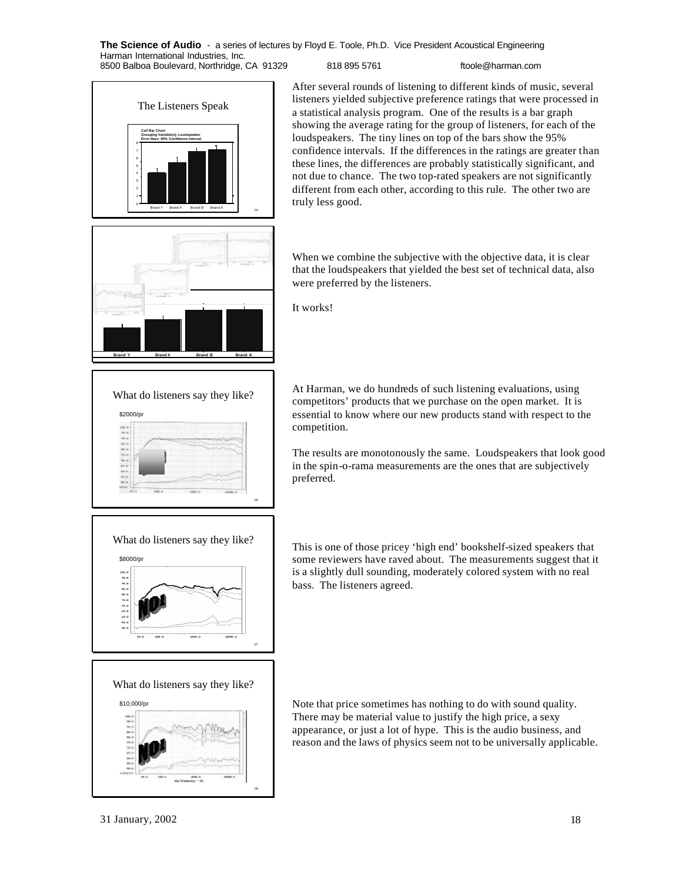**The Science of Audio** - a series of lectures by Floyd E. Toole, Ph.D. Vice President Acoustical Engineering Harman International Industries, Inc.

8500 Balboa Boulevard, Northridge, CA 91329 818 895 5761 ftoole@harman.com



**Brand Y Brand X Brand B Brand A** 

What do listeners say they like?

**Cell Bar Chart Grouping Variable(s): Loudspeaker Error Bars: 95% Confidence Interval**

\$2000/pr

**FRAME REFERE** 

After several rounds of listening to different kinds of music, several listeners yielded subjective preference ratings that were processed in a statistical analysis program. One of the results is a bar graph showing the average rating for the group of listeners, for each of the loudspeakers. The tiny lines on top of the bars show the 95% confidence intervals. If the differences in the ratings are greater than these lines, the differences are probably statistically significant, and not due to chance. The two top-rated speakers are not significantly different from each other, according to this rule. The other two are truly less good.

When we combine the subjective with the objective data, it is clear that the loudspeakers that yielded the best set of technical data, also were preferred by the listeners.

It works!

86

At Harman, we do hundreds of such listening evaluations, using competitors' products that we purchase on the open market. It is essential to know where our new products stand with respect to the competition.

The results are monotonously the same. Loudspeakers that look good in the spin-o-rama measurements are the ones that are subjectively preferred.

This is one of those pricey 'high end' bookshelf-sized speakers that some reviewers have raved about. The measurements suggest that it is a slightly dull sounding, moderately colored system with no real bass. The listeners agreed.



\$10,000/pr Note that price sometimes has nothing to do with sound quality. There may be material value to justify the high price, a sexy appearance, or just a lot of hype. This is the audio business, and reason and the laws of physics seem not to be universally applicable.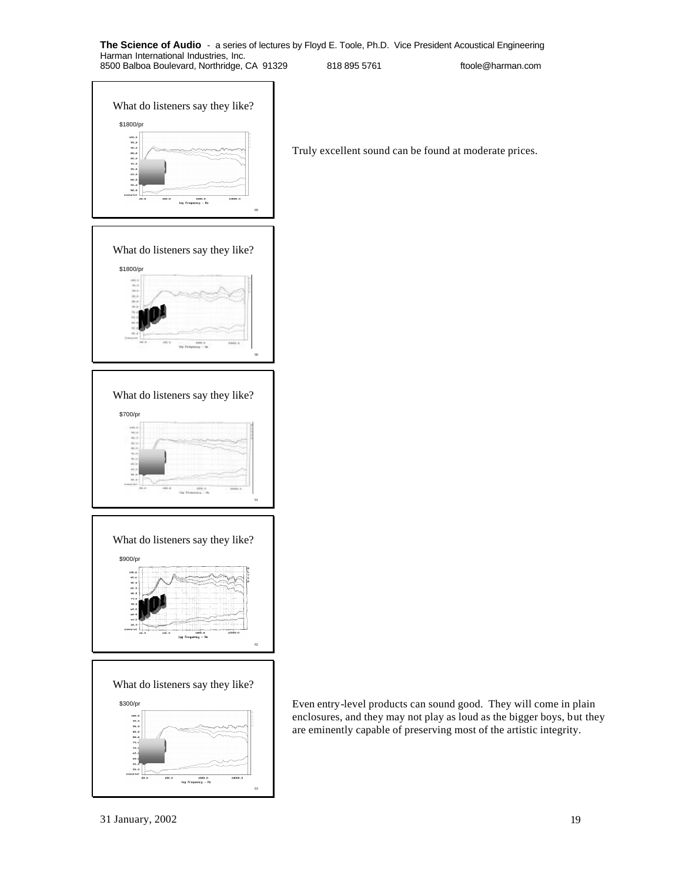

Truly excellent sound can be found at moderate prices.









\$300/pr Even entry-level products can sound good. They will come in plain enclosures, and they may not play as loud as the bigger boys, but they are eminently capable of preserving most of the artistic integrity.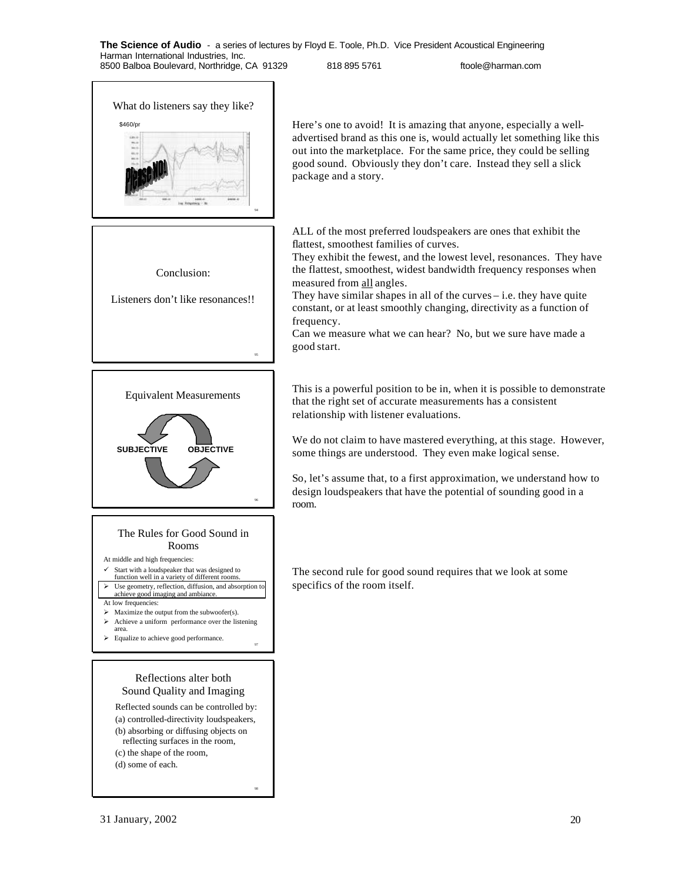package and a story.

94 What do listeners say they like? \$460/pr Here's one to avoid! It is amazing that anyone, especially a well-95 Conclusion: Listeners don't like resonances!! 96 Equivalent Measurements **SUBJECTIVE OBJECTIVE** 97 The Rules for Good Sound in Rooms At middle and high frequencies:  $\checkmark$  Start with a loudspeaker that was designed to function well in a variety of different rooms. > Use geometry, reflection, diffusion, and absorption to achieve good imaging and ambiance. At low frequencies:  $\triangleright$  Maximize the output from the subwoofer(s).  $\triangleright$  Achieve a uniform performance over the listening area. ÿ Equalize to achieve good performance. Reflections alter both Sound Quality and Imaging

ALL of the most preferred loudspeakers are ones that exhibit the flattest, smoothest families of curves.

They exhibit the fewest, and the lowest level, resonances. They have the flattest, smoothest, widest bandwidth frequency responses when measured from all angles.

advertised brand as this one is, would actually let something like this out into the marketplace. For the same price, they could be selling good sound. Obviously they don't care. Instead they sell a slick

They have similar shapes in all of the curves – i.e. they have quite constant, or at least smoothly changing, directivity as a function of frequency.

Can we measure what we can hear? No, but we sure have made a good start.

This is a powerful position to be in, when it is possible to demonstrate that the right set of accurate measurements has a consistent relationship with listener evaluations.

We do not claim to have mastered everything, at this stage. However, some things are understood. They even make logical sense.

So, let's assume that, to a first approximation, we understand how to design loudspeakers that have the potential of sounding good in a room.

The second rule for good sound requires that we look at some specifics of the room itself.

- Reflected sounds can be controlled by:
- (a) controlled-directivity loudspeakers,
- (b) absorbing or diffusing objects on

98

- reflecting surfaces in the room,
- (c) the shape of the room, (d) some of each.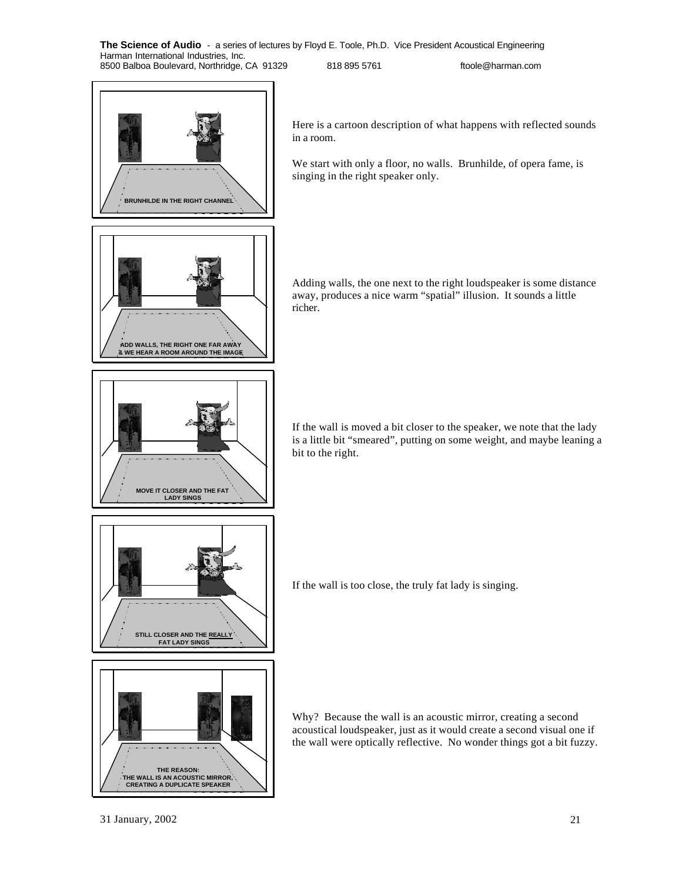

Here is a cartoon description of what happens with reflected sounds

We start with only a floor, no walls. Brunhilde, of opera fame, is singing in the right speaker only.

Adding walls, the one next to the right loudspeaker is some distance away, produces a nice warm "spatial" illusion. It sounds a little

If the wall is moved a bit closer to the speaker, we note that the lady is a little bit "smeared", putting on some weight, and maybe leaning a bit to the right.



**MOVE IT CLOSER AND THE FAT LADY SINGS**

**THE REASON: THE WALL IS AN ACOUSTIC MIRROR, CREATING A DUPLICATE SPEAKER** If the wall is too close, the truly fat lady is singing.

Why? Because the wall is an acoustic mirror, creating a second acoustical loudspeaker, just as it would create a second visual one if the wall were optically reflective. No wonder things got a bit fuzzy.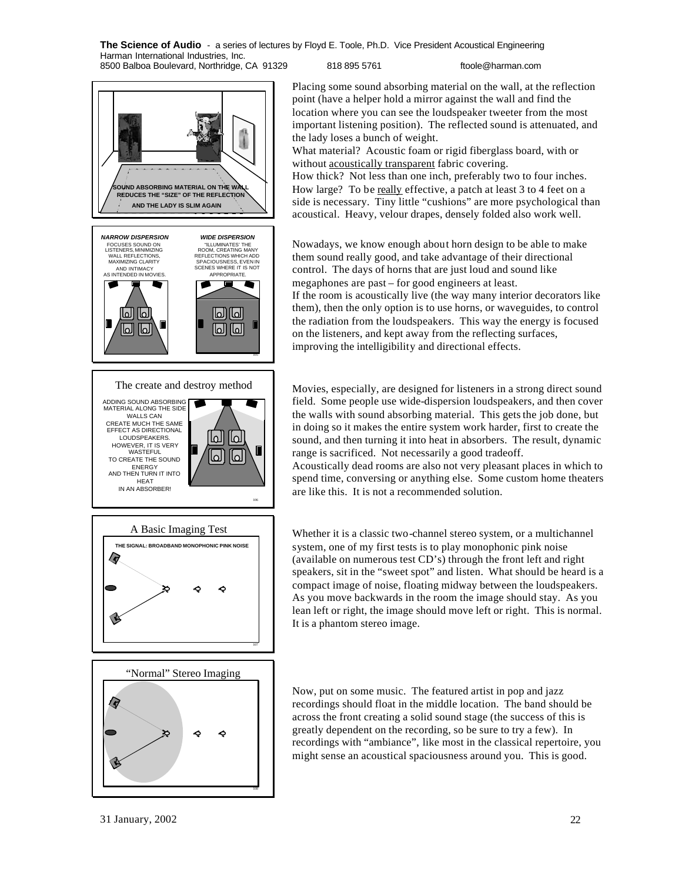**OUND ABSORBING MATERIAL ON THE WA REDUCES THE "SIZE" OF THE REFLECTION AND THE LADY IS SLIM AGAIN** *NARROW DISPERSION WIDE DISPERSION* FOCUSES SOUND ON LISTENERS, MINIMIZING WALL REFLECTIONS, MAXIMIZING CLARITY "ILLUMINATES' THE ROOM, CREATING MANY REFLECTIONS WHICH ADD SPACIOUSNESS, EVEN IN SCENES WHERE IT IS NOT AND INTIMACY AS INTENDED IN MOVIES. APPROPRIATE. Р لماالما لعا الما) [لما اله لما 105 ADDING SOUND ABSORBING MATERIAL ALONG THE SIDE WALLS CAN CREATE MUCH THE SAME EFFECT AS DIRECTIONAL LOUDSPEAKERS. ച l۵ HOWEVER, IT IS VERY WASTEFUL ە TO CREATE THE SOUND ENERGY<br>AND THEN TURN IT INTO HEAT IN AN ABSORBER! 106 A Basic Imaging Test **THE SIGNAL: BROADBAND MONOPHONIC PINK NOISE K** 107 "Normal" Stereo Imaging  $\overline{\bm{v}}$ Ó

Placing some sound absorbing material on the wall, at the reflection point (have a helper hold a mirror against the wall and find the location where you can see the loudspeaker tweeter from the most important listening position). The reflected sound is attenuated, and the lady loses a bunch of weight.

What material? Acoustic foam or rigid fiberglass board, with or without acoustically transparent fabric covering. How thick? Not less than one inch, preferably two to four inches.

How large? To be really effective, a patch at least 3 to 4 feet on a side is necessary. Tiny little "cushions" are more psychological than acoustical. Heavy, velour drapes, densely folded also work well.

Nowadays, we know enough about horn design to be able to make them sound really good, and take advantage of their directional control. The days of horns that are just loud and sound like megaphones are past – for good engineers at least. If the room is acoustically live (the way many interior decorators like them), then the only option is to use horns, or waveguides, to control the radiation from the loudspeakers. This way the energy is focused on the listeners, and kept away from the reflecting surfaces, improving the intelligibility and directional effects.

The create and destroy method Movies, especially, are designed for listeners in a strong direct sound field. Some people use wide-dispersion loudspeakers, and then cover the walls with sound absorbing material. This gets the job done, but in doing so it makes the entire system work harder, first to create the sound, and then turning it into heat in absorbers. The result, dynamic range is sacrificed. Not necessarily a good tradeoff.

Acoustically dead rooms are also not very pleasant places in which to spend time, conversing or anything else. Some custom home theaters are like this. It is not a recommended solution.

Whether it is a classic two-channel stereo system, or a multichannel system, one of my first tests is to play monophonic pink noise (available on numerous test CD's) through the front left and right speakers, sit in the "sweet spot" and listen. What should be heard is a compact image of noise, floating midway between the loudspeakers. As you move backwards in the room the image should stay. As you lean left or right, the image should move left or right. This is normal. It is a phantom stereo image.

Now, put on some music. The featured artist in pop and jazz recordings should float in the middle location. The band should be across the front creating a solid sound stage (the success of this is greatly dependent on the recording, so be sure to try a few). In recordings with "ambiance", like most in the classical repertoire, you might sense an acoustical spaciousness around you. This is good.

108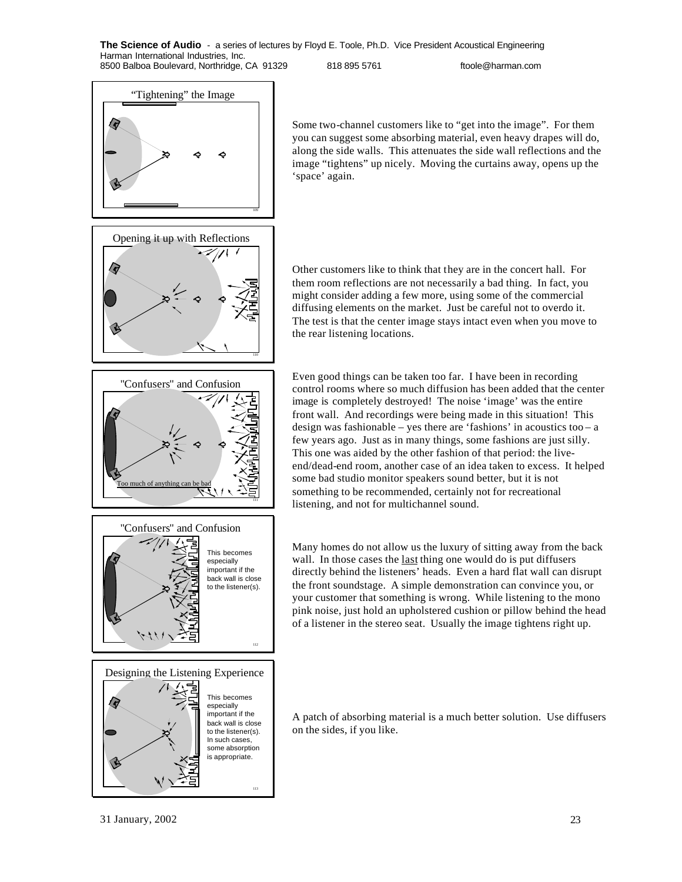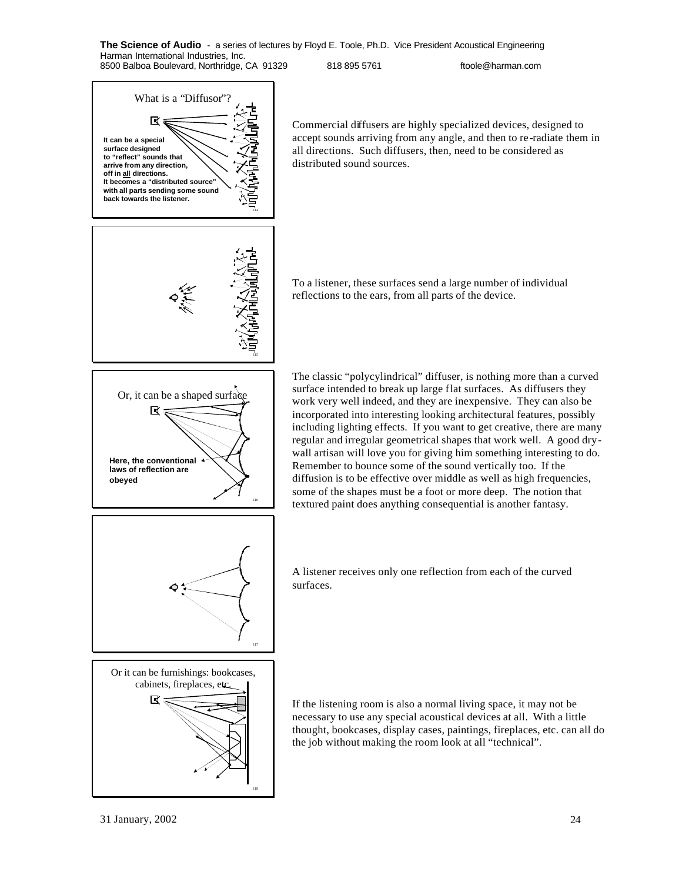





Commercial diffusers are highly specialized devices, designed to accept sounds arriving from any angle, and then to re-radiate them in all directions. Such diffusers, then, need to be considered as distributed sound sources.

To a listener, these surfaces send a large number of individual reflections to the ears, from all parts of the device.

The classic "polycylindrical" diffuser, is nothing more than a curved surface intended to break up large flat surfaces. As diffusers they work very well indeed, and they are inexpensive. They can also be incorporated into interesting looking architectural features, possibly including lighting effects. If you want to get creative, there are many regular and irregular geometrical shapes that work well. A good drywall artisan will love you for giving him something interesting to do. Remember to bounce some of the sound vertically too. If the diffusion is to be effective over middle as well as high frequencies, some of the shapes must be a foot or more deep. The notion that textured paint does anything consequential is another fantasy.

A listener receives only one reflection from each of the curved surfaces.

If the listening room is also a normal living space, it may not be necessary to use any special acoustical devices at all. With a little thought, bookcases, display cases, paintings, fireplaces, etc. can all do the job without making the room look at all "technical".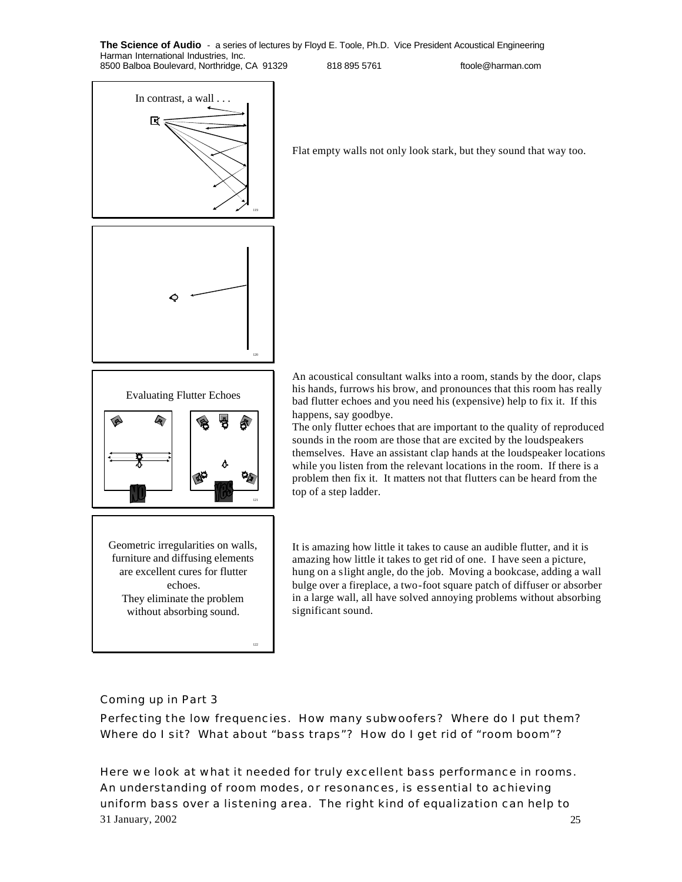

Flat empty walls not only look stark, but they sound that way too.



Geometric irregularities on walls, furniture and diffusing elements are excellent cures for flutter echoes. They eliminate the problem without absorbing sound.

An acoustical consultant walks into a room, stands by the door, claps his hands, furrows his brow, and pronounces that this room has really bad flutter echoes and you need his (expensive) help to fix it. If this happens, say goodbye.

The only flutter echoes that are important to the quality of reproduced sounds in the room are those that are excited by the loudspeakers themselves. Have an assistant clap hands at the loudspeaker locations while you listen from the relevant locations in the room. If there is a problem then fix it. It matters not that flutters can be heard from the top of a step ladder.

It is amazing how little it takes to cause an audible flutter, and it is amazing how little it takes to get rid of one. I have seen a picture, hung on a slight angle, do the job. Moving a bookcase, adding a wall bulge over a fireplace, a two-foot square patch of diffuser or absorber in a large wall, all have solved annoying problems without absorbing significant sound.

## Coming up in Part 3

Perfecting the low frequencies. How many subwoofers? Where do I put them? Where do I sit? What about "bass traps"? How do I get rid of "room boom"?

31 January, 2002 25 Here we look at what it needed for truly excellent bass performance in rooms. An understanding of room modes, or resonances, is essential to achieving uniform bass over a listening area. The right kind of equalization can help to